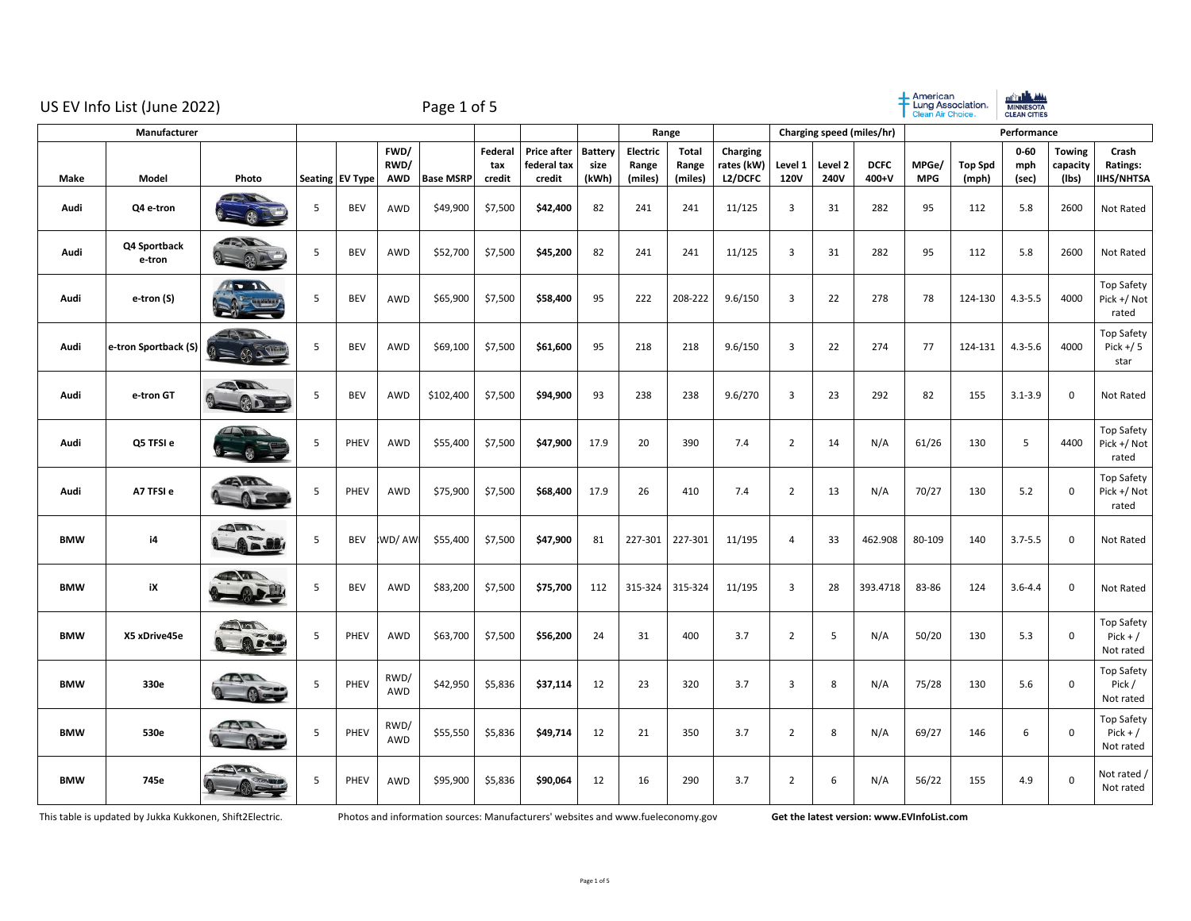|            | US EV Info List (June 2022)<br>Manufacturer |                                |   |                 |                            | Page 1 of 5      |                          |                                             |                          |                              |                                  |                                   |                         |                 |                           | American<br>Lung Association.<br><b>Clean Air Choice</b> |                         | <b>el<sup>t</sup>i Language</b><br><b>CLEAN CITIES</b> |                                    |                                           |
|------------|---------------------------------------------|--------------------------------|---|-----------------|----------------------------|------------------|--------------------------|---------------------------------------------|--------------------------|------------------------------|----------------------------------|-----------------------------------|-------------------------|-----------------|---------------------------|----------------------------------------------------------|-------------------------|--------------------------------------------------------|------------------------------------|-------------------------------------------|
|            |                                             |                                |   |                 |                            |                  |                          |                                             | Range                    |                              |                                  |                                   |                         |                 | Charging speed (miles/hr) | Performance                                              |                         |                                                        |                                    |                                           |
| Make       | Model                                       | Photo                          |   | Seating EV Type | FWD/<br>RWD/<br><b>AWD</b> | <b>Base MSRP</b> | Federal<br>tax<br>credit | <b>Price after</b><br>federal tax<br>credit | Battery<br>size<br>(kWh) | Electric<br>Range<br>(miles) | <b>Total</b><br>Range<br>(miles) | Charging<br>rates (kW)<br>L2/DCFC | Level 1<br>120V         | Level 2<br>240V | <b>DCFC</b><br>400+V      | MPGe/<br><b>MPG</b>                                      | <b>Top Spd</b><br>(mph) | $0 - 60$<br>mph<br>(sec)                               | <b>Towing</b><br>capacity<br>(Ibs) | Crash<br>Ratings:<br><b>IIHS/NHTSA</b>    |
| Audi       | Q4 e-tron                                   |                                | 5 | <b>BEV</b>      | AWD                        | \$49,900         | \$7,500                  | \$42,400                                    | 82                       | 241                          | 241                              | 11/125                            | $\overline{\mathbf{3}}$ | 31              | 282                       | 95                                                       | 112                     | 5.8                                                    | 2600                               | Not Rated                                 |
| Audi       | Q4 Sportback<br>e-tron                      | P                              | 5 | <b>BEV</b>      | AWD                        | \$52,700         | \$7,500                  | \$45,200                                    | 82                       | 241                          | 241                              | 11/125                            | 3                       | 31              | 282                       | 95                                                       | 112                     | 5.8                                                    | 2600                               | Not Rated                                 |
| Audi       | e-tron (S)                                  | $\sqrt{1}$                     | 5 | <b>BEV</b>      | AWD                        | \$65,900         | \$7,500                  | \$58,400                                    | 95                       | 222                          | 208-222                          | 9.6/150                           | $\overline{\mathbf{3}}$ | 22              | 278                       | 78                                                       | 124-130                 | $4.3 - 5.5$                                            | 4000                               | <b>Top Safety</b><br>Pick +/ Not<br>rated |
| Audi       | e-tron Sportback (S)                        | % >                            | 5 | <b>BEV</b>      | AWD                        | \$69,100         | \$7,500                  | \$61,600                                    | 95                       | 218                          | 218                              | 9.6/150                           | 3                       | 22              | 274                       | 77                                                       | 124-131                 | $4.3 - 5.6$                                            | 4000                               | Top Safety<br>Pick $+/5$<br>star          |
| Audi       | e-tron GT                                   | <b>STATE</b>                   | 5 | <b>BEV</b>      | AWD                        | \$102,400        | \$7,500                  | \$94,900                                    | 93                       | 238                          | 238                              | 9.6/270                           | 3                       | 23              | 292                       | 82                                                       | 155                     | $3.1 - 3.9$                                            | $\mathsf 0$                        | Not Rated                                 |
| Audi       | Q5 TFSI e                                   |                                | 5 | PHEV            | AWD                        | \$55,400         | \$7,500                  | \$47,900                                    | 17.9                     | 20                           | 390                              | 7.4                               | $\overline{2}$          | 14              | N/A                       | 61/26                                                    | 130                     | 5                                                      | 4400                               | <b>Top Safety</b><br>Pick +/ Not<br>rated |
| Audi       | A7 TFSI e                                   | <b>CAMP</b>                    | 5 | PHEV            | AWD                        | \$75,900         | \$7,500                  | \$68,400                                    | 17.9                     | 26                           | 410                              | 7.4                               | $\overline{2}$          | 13              | N/A                       | 70/27                                                    | 130                     | 5.2                                                    | $\mathbf 0$                        | <b>Top Safety</b><br>Pick +/ Not<br>rated |
| <b>BMW</b> | i4                                          | $\triangle m$<br><b>AFU</b>    | 5 | <b>BEV</b>      | WD/AW                      | \$55,400         | \$7,500                  | \$47,900                                    | 81                       | 227-301                      | 227-301                          | 11/195                            | $\overline{4}$          | 33              | 462.908                   | 80-109                                                   | 140                     | $3.7 - 5.5$                                            | $\mathbf 0$                        | Not Rated                                 |
| <b>BMW</b> | iX                                          | <b>AGE</b>                     | 5 | <b>BEV</b>      | <b>AWD</b>                 | \$83,200         | \$7,500                  | \$75,700                                    | 112                      | 315-324                      | 315-324                          | 11/195                            | 3                       | 28              | 393.4718                  | 83-86                                                    | 124                     | $3.6 - 4.4$                                            | $\mathsf 0$                        | Not Rated                                 |
| <b>BMW</b> | X5 xDrive45e                                | $\sqrt{m}$                     | 5 | PHEV            | <b>AWD</b>                 | \$63,700         | \$7,500                  | \$56,200                                    | 24                       | 31                           | 400                              | 3.7                               | $\overline{2}$          | 5               | N/A                       | 50/20                                                    | 130                     | 5.3                                                    | $\mathsf 0$                        | Top Safety<br>$Pick + /$<br>Not rated     |
| <b>BMW</b> | 330e                                        | $\mathbb{Z}$<br>$\bigcirc$     | 5 | PHEV            | RWD/<br>AWD                | \$42,950         | \$5,836                  | \$37,114                                    | 12                       | 23                           | 320                              | 3.7                               | 3                       | 8               | N/A                       | 75/28                                                    | 130                     | 5.6                                                    | $\mathsf 0$                        | Top Safety<br>Pick /<br>Not rated         |
| <b>BMW</b> | 530e                                        | <b>ALCOHOL</b><br>$\mathbb{R}$ | 5 | PHEV            | RWD/<br>AWD                | \$55,550         | \$5,836                  | \$49,714                                    | 12                       | 21                           | 350                              | 3.7                               | $\overline{2}$          | 8               | N/A                       | 69/27                                                    | 146                     | 6                                                      | $\mathsf 0$                        | Top Safety<br>$Pick + /$<br>Not rated     |
| <b>BMW</b> | 745e                                        |                                | 5 | PHEV            | <b>AWD</b>                 | \$95,900         | \$5,836                  | \$90,064                                    | 12                       | 16                           | 290                              | 3.7                               | $\overline{2}$          | 6               | N/A                       | 56/22                                                    | 155                     | 4.9                                                    | $\mathbf 0$                        | Not rated /<br>Not rated                  |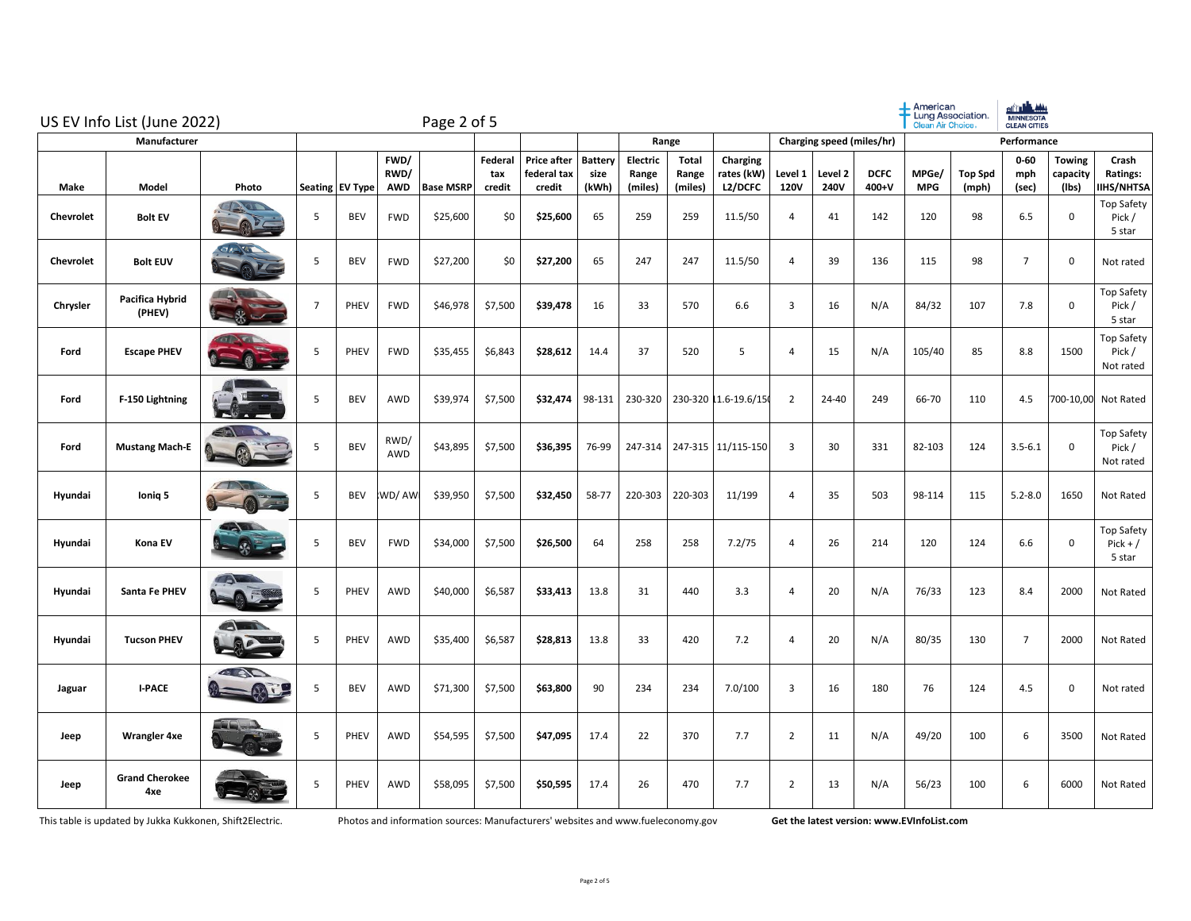|                  | US EV Info List (June 2022)  |                      |                |                 |                     | Page 2 of 5      |                          |                                             |                                 |                              |                                  |                                   |                         |                           |                      | Clean Air Choice    | Lung Association.       | <u>aft de mi</u><br><b>MINNESOTA</b><br><b>CLEAN CITIES</b> |                                    |                                           |
|------------------|------------------------------|----------------------|----------------|-----------------|---------------------|------------------|--------------------------|---------------------------------------------|---------------------------------|------------------------------|----------------------------------|-----------------------------------|-------------------------|---------------------------|----------------------|---------------------|-------------------------|-------------------------------------------------------------|------------------------------------|-------------------------------------------|
|                  | Manufacturer                 |                      |                |                 |                     |                  |                          |                                             |                                 |                              | Range                            |                                   |                         | Charging speed (miles/hr) |                      |                     |                         | Performance                                                 |                                    |                                           |
| Make             | Model                        | Photo                |                | Seating EV Type | FWD/<br>RWD/<br>AWD | <b>Base MSRP</b> | Federal<br>tax<br>credit | <b>Price after</b><br>federal tax<br>credit | <b>Battery</b><br>size<br>(kWh) | Electric<br>Range<br>(miles) | <b>Total</b><br>Range<br>(miles) | Charging<br>rates (kW)<br>L2/DCFC | Level 1<br><b>120V</b>  | Level 2<br>240V           | <b>DCFC</b><br>400+V | MPGe/<br><b>MPG</b> | <b>Top Spd</b><br>(mph) | $0 - 60$<br>mph<br>(sec)                                    | <b>Towing</b><br>capacity<br>(lbs) | Crash<br>Ratings:<br>IIHS/NHTSA           |
| <b>Chevrolet</b> | <b>Bolt EV</b>               |                      | 5              | <b>BEV</b>      | <b>FWD</b>          | \$25,600         | \$0                      | \$25,600                                    | 65                              | 259                          | 259                              | 11.5/50                           | $\overline{4}$          | 41                        | 142                  | 120                 | 98                      | 6.5                                                         | $\mathsf 0$                        | Top Safety<br>Pick /<br>5 star            |
| Chevrolet        | <b>Bolt EUV</b>              |                      | 5              | <b>BEV</b>      | <b>FWD</b>          | \$27,200         | \$0                      | \$27,200                                    | 65                              | 247                          | 247                              | 11.5/50                           | $\overline{4}$          | 39                        | 136                  | 115                 | 98                      | $\overline{7}$                                              | $\mathbf 0$                        | Not rated                                 |
| Chrysler         | Pacifica Hybrid<br>(PHEV)    |                      | $\overline{7}$ | PHEV            | <b>FWD</b>          | \$46,978         | \$7,500                  | \$39,478                                    | 16                              | 33                           | 570                              | 6.6                               | 3                       | 16                        | N/A                  | 84/32               | 107                     | 7.8                                                         | 0                                  | Top Safety<br>Pick /<br>5 star            |
| Ford             | <b>Escape PHEV</b>           |                      | 5              | PHEV            | <b>FWD</b>          | \$35,455         | \$6,843                  | \$28,612                                    | 14.4                            | 37                           | 520                              | 5                                 | $\overline{4}$          | 15                        | N/A                  | 105/40              | 85                      | 8.8                                                         | 1500                               | Top Safety<br>Pick /<br>Not rated         |
| Ford             | F-150 Lightning              |                      | 5              | <b>BEV</b>      | <b>AWD</b>          | \$39,974         | \$7,500                  | \$32,474                                    | 98-131                          | 230-320                      |                                  | 230-320 1.6-19.6/150              | $\overline{2}$          | 24-40                     | 249                  | 66-70               | 110                     | 4.5                                                         |                                    | 700-10,00 Not Rated                       |
| Ford             | <b>Mustang Mach-E</b>        | 一<br>BOL             | 5              | BEV             | RWD/<br>AWD         | \$43,895         | \$7,500                  | \$36,395                                    | 76-99                           | 247-314                      | 247-315                          | 11/115-150                        | $\overline{\mathbf{3}}$ | 30                        | 331                  | 82-103              | 124                     | $3.5 - 6.1$                                                 | $\mathsf 0$                        | Top Safety<br>Pick /<br>Not rated         |
| Hyundai          | Ionig 5                      | <b>SALE AND REAL</b> | 5              | <b>BEV</b>      | WD/AW               | \$39,950         | \$7,500                  | \$32,450                                    | 58-77                           | 220-303                      | 220-303                          | 11/199                            | $\overline{4}$          | 35                        | 503                  | 98-114              | 115                     | $5.2 - 8.0$                                                 | 1650                               | Not Rated                                 |
| Hyundai          | Kona EV                      | <b>HOLE</b>          | 5              | <b>BEV</b>      | <b>FWD</b>          | \$34,000         | \$7,500                  | \$26,500                                    | 64                              | 258                          | 258                              | 7.2/75                            | $\overline{4}$          | 26                        | 214                  | 120                 | 124                     | 6.6                                                         | $\mathsf 0$                        | <b>Top Safety</b><br>$Pick + /$<br>5 star |
| Hyundai          | Santa Fe PHEV                | $\lambda$            | 5              | PHEV            | AWD                 | \$40,000         | \$6,587                  | \$33,413                                    | 13.8                            | 31                           | 440                              | 3.3                               | $\overline{4}$          | 20                        | N/A                  | 76/33               | 123                     | 8.4                                                         | 2000                               | Not Rated                                 |
| Hyundai          | <b>Tucson PHEV</b>           | AMI<br>AP            | 5              | PHEV            | AWD                 | \$35,400         | \$6,587                  | \$28,813                                    | 13.8                            | 33                           | 420                              | 7.2                               | $\overline{4}$          | 20                        | N/A                  | 80/35               | 130                     | $\overline{7}$                                              | 2000                               | Not Rated                                 |
| Jaguar           | <b>I-PACE</b>                | <b>CAN</b>           | 5              | <b>BEV</b>      | AWD                 | \$71,300         | \$7,500                  | \$63,800                                    | 90                              | 234                          | 234                              | 7.0/100                           | $\overline{3}$          | 16                        | 180                  | 76                  | 124                     | 4.5                                                         | $\mathbf 0$                        | Not rated                                 |
| Jeep             | <b>Wrangler 4xe</b>          |                      | 5              | PHEV            | AWD                 | \$54,595         | \$7,500                  | \$47,095                                    | 17.4                            | 22                           | 370                              | 7.7                               | $\overline{2}$          | 11                        | N/A                  | 49/20               | 100                     | 6                                                           | 3500                               | Not Rated                                 |
| Jeep             | <b>Grand Cherokee</b><br>4xe |                      | 5              | <b>PHEV</b>     | AWD                 | \$58,095         | \$7,500                  | \$50,595                                    | 17.4                            | 26                           | 470                              | 7.7                               | $\overline{2}$          | 13                        | N/A                  | 56/23               | 100                     | 6                                                           | 6000                               | Not Rated                                 |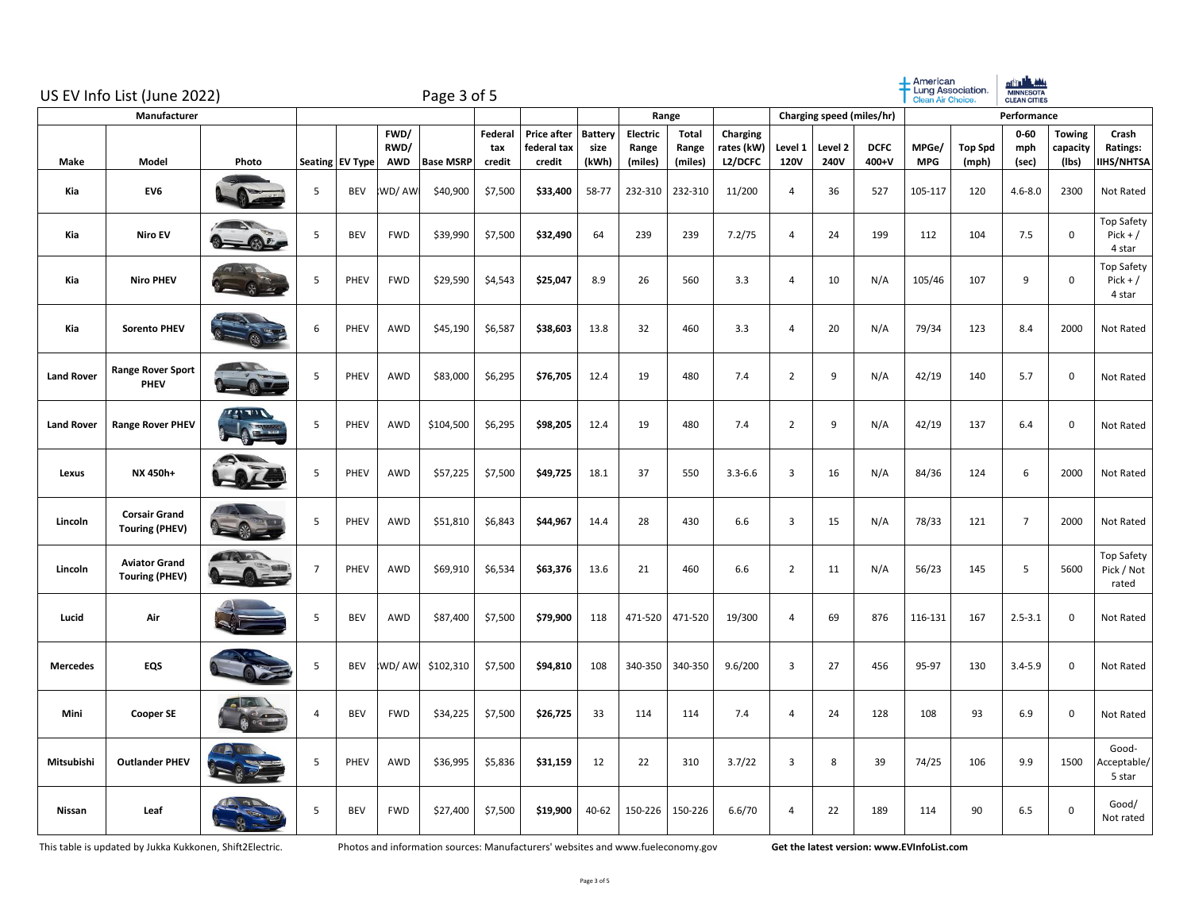| US EV Info List (June 2022)<br>Manufacturer |                                               |                            |                |                 |                            | Page 3 of 5      |                          |                                             |                                 |                              |                           |                                          |                        |                        |                           | $+$ American<br>Clean Air Choice. | Lung Association.       | ath <b>dh</b> Mi<br><b>MINNESOTA</b><br>CLEAN CITIES |                                    |                                           |
|---------------------------------------------|-----------------------------------------------|----------------------------|----------------|-----------------|----------------------------|------------------|--------------------------|---------------------------------------------|---------------------------------|------------------------------|---------------------------|------------------------------------------|------------------------|------------------------|---------------------------|-----------------------------------|-------------------------|------------------------------------------------------|------------------------------------|-------------------------------------------|
|                                             |                                               |                            |                |                 |                            |                  |                          |                                             |                                 |                              | Range                     |                                          |                        |                        | Charging speed (miles/hr) |                                   |                         | Performance                                          |                                    |                                           |
| Make                                        | Model                                         | Photo                      |                | Seating EV Type | FWD/<br>RWD/<br><b>AWD</b> | <b>Base MSRP</b> | Federal<br>tax<br>credit | <b>Price after</b><br>federal tax<br>credit | <b>Battery</b><br>size<br>(kWh) | Electric<br>Range<br>(miles) | Total<br>Range<br>(miles) | Charging<br>rates (kW)<br><b>L2/DCFC</b> | Level 1<br><b>120V</b> | Level 2<br><b>240V</b> | <b>DCFC</b><br>400+V      | MPGe/<br><b>MPG</b>               | <b>Top Spd</b><br>(mph) | $0 - 60$<br>mph<br>(sec)                             | <b>Towing</b><br>capacity<br>(Ibs) | Crash<br>Ratings:<br><b>IIHS/NHTSA</b>    |
| Kia                                         | EV6                                           |                            | 5              | <b>BEV</b>      | WD/AW                      | \$40,900         | \$7,500                  | \$33,400                                    | 58-77                           | 232-310                      | 232-310                   | 11/200                                   | 4                      | 36                     | 527                       | 105-117                           | 120                     | $4.6 - 8.0$                                          | 2300                               | Not Rated                                 |
| Kia                                         | <b>Niro EV</b>                                |                            | 5              | <b>BEV</b>      | <b>FWD</b>                 | \$39,990         | \$7,500                  | \$32,490                                    | 64                              | 239                          | 239                       | 7.2/75                                   | 4                      | 24                     | 199                       | 112                               | 104                     | 7.5                                                  | $\mathbf 0$                        | <b>Top Safety</b><br>$Pick + /$<br>4 star |
| Kia                                         | <b>Niro PHEV</b>                              |                            | 5              | PHEV            | <b>FWD</b>                 | \$29,590         | \$4,543                  | \$25,047                                    | 8.9                             | 26                           | 560                       | 3.3                                      | $\overline{4}$         | 10                     | N/A                       | 105/46                            | 107                     | 9                                                    | $\mathsf 0$                        | <b>Top Safety</b><br>$Pick + /$<br>4 star |
| Kia                                         | <b>Sorento PHEV</b>                           |                            | 6              | PHEV            | AWD                        | \$45,190         | \$6,587                  | \$38,603                                    | 13.8                            | 32                           | 460                       | 3.3                                      | 4                      | 20                     | N/A                       | 79/34                             | 123                     | 8.4                                                  | 2000                               | Not Rated                                 |
| <b>Land Rover</b>                           | <b>Range Rover Sport</b><br><b>PHEV</b>       |                            | 5              | PHEV            | AWD                        | \$83,000         | \$6,295                  | \$76,705                                    | 12.4                            | 19                           | 480                       | 7.4                                      | $\overline{2}$         | 9                      | N/A                       | 42/19                             | 140                     | 5.7                                                  | 0                                  | Not Rated                                 |
| <b>Land Rover</b>                           | <b>Range Rover PHEV</b>                       | י הידי <u>ם</u>            | 5              | PHEV            | AWD                        | \$104,500        | \$6,295                  | \$98,205                                    | 12.4                            | 19                           | 480                       | 7.4                                      | $\overline{2}$         | 9                      | N/A                       | 42/19                             | 137                     | 6.4                                                  | $\mathbf 0$                        | Not Rated                                 |
| Lexus                                       | NX 450h+                                      |                            | 5              | PHEV            | AWD                        | \$57,225         | \$7,500                  | \$49,725                                    | 18.1                            | 37                           | 550                       | $3.3 - 6.6$                              | 3                      | 16                     | N/A                       | 84/36                             | 124                     | 6                                                    | 2000                               | Not Rated                                 |
| Lincoln                                     | <b>Corsair Grand</b><br><b>Touring (PHEV)</b> |                            | 5              | PHEV            | AWD                        | \$51,810         | \$6,843                  | \$44,967                                    | 14.4                            | 28                           | 430                       | 6.6                                      | 3                      | 15                     | N/A                       | 78/33                             | 121                     | $\overline{7}$                                       | 2000                               | Not Rated                                 |
| Lincoln                                     | <b>Aviator Grand</b><br><b>Touring (PHEV)</b> | <b>All Street Property</b> | $\overline{7}$ | PHEV            | AWD                        | \$69,910         | \$6,534                  | \$63,376                                    | 13.6                            | 21                           | 460                       | 6.6                                      | $\overline{2}$         | 11                     | N/A                       | 56/23                             | 145                     | 5                                                    | 5600                               | <b>Top Safety</b><br>Pick / Not<br>rated  |
| Lucid                                       | Air                                           |                            | 5              | <b>BEV</b>      | AWD                        | \$87,400         | \$7,500                  | \$79,900                                    | 118                             | 471-520                      | 471-520                   | 19/300                                   | $\overline{4}$         | 69                     | 876                       | 116-131                           | 167                     | $2.5 - 3.1$                                          | $\mathbf 0$                        | Not Rated                                 |
| <b>Mercedes</b>                             | EQS                                           |                            | 5              | <b>BEV</b>      | :WD/ AW                    | \$102,310        | \$7,500                  | \$94,810                                    | 108                             | 340-350                      | 340-350                   | 9.6/200                                  | 3                      | 27                     | 456                       | 95-97                             | 130                     | $3.4 - 5.9$                                          | $\mathbf 0$                        | Not Rated                                 |
| Mini                                        | <b>Cooper SE</b>                              |                            | $\overline{4}$ | <b>BEV</b>      | <b>FWD</b>                 | \$34,225         | \$7,500                  | \$26,725                                    | 33                              | 114                          | 114                       | 7.4                                      | $\overline{4}$         | 24                     | 128                       | 108                               | 93                      | 6.9                                                  | $\mathbf 0$                        | Not Rated                                 |
| Mitsubishi                                  | <b>Outlander PHEV</b>                         |                            | 5              | <b>PHEV</b>     | AWD                        | \$36,995         | \$5,836                  | \$31,159                                    | 12                              | 22                           | 310                       | 3.7/22                                   | $\overline{3}$         | 8                      | 39                        | 74/25                             | 106                     | 9.9                                                  | 1500                               | Good-<br>Acceptable/<br>5 star            |
| Nissan                                      | Leaf                                          |                            | 5              | BEV             | <b>FWD</b>                 | \$27,400         | \$7,500                  | \$19,900                                    | 40-62                           | 150-226                      | 150-226                   | 6.6/70                                   | $\overline{4}$         | 22                     | 189                       | 114                               | 90                      | 6.5                                                  | $\mathbf 0$                        | Good/<br>Not rated                        |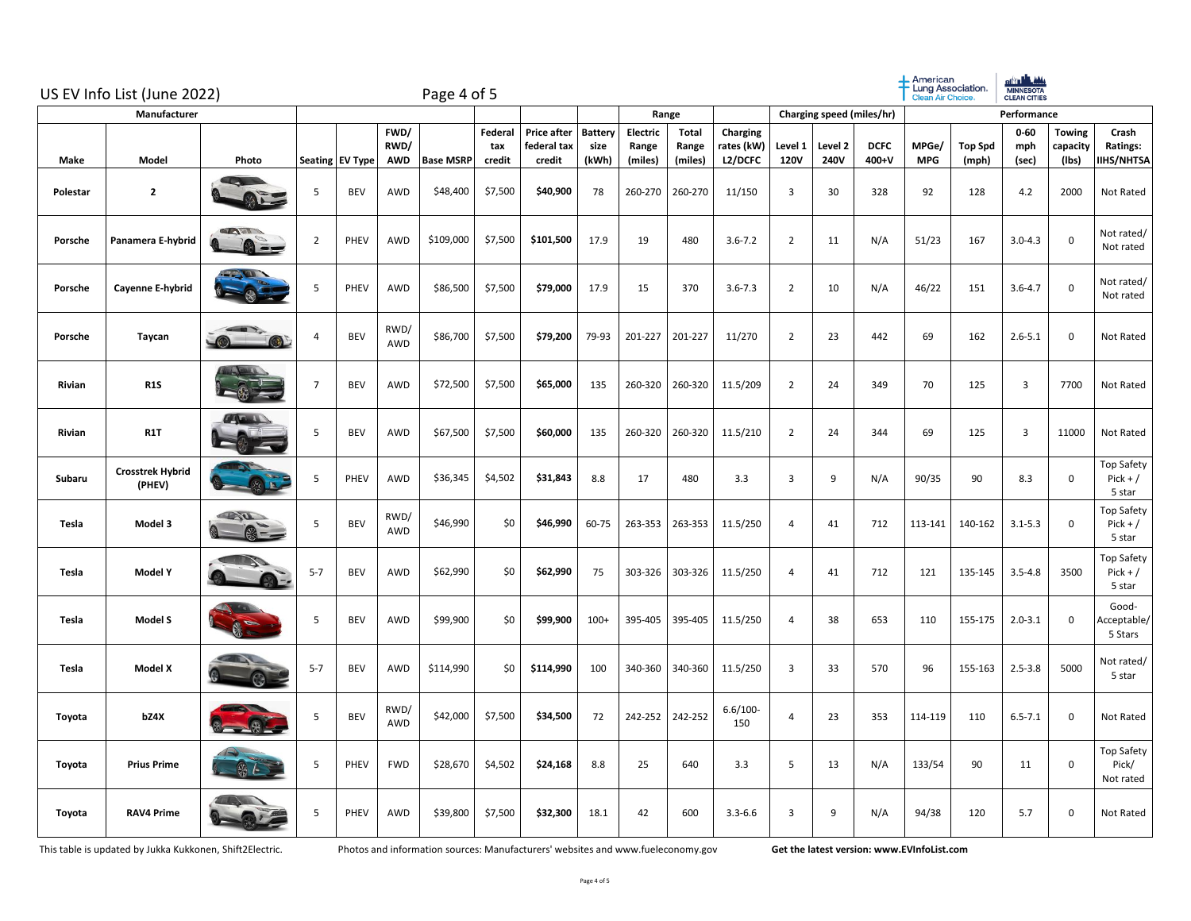|          | US EV Info List (June 2022)       | Page 4 of 5               |                |                 |                            |                  |                          |                                      |                                 |                              |                           | $+$ American<br>Lung Association.<br>Clean Air Choice |                           | of the life. Adds<br><b>MINNESOTA</b><br><b>CLEAN CITIES</b> |                      |                     |                         |                          |                                    |                                    |
|----------|-----------------------------------|---------------------------|----------------|-----------------|----------------------------|------------------|--------------------------|--------------------------------------|---------------------------------|------------------------------|---------------------------|-------------------------------------------------------|---------------------------|--------------------------------------------------------------|----------------------|---------------------|-------------------------|--------------------------|------------------------------------|------------------------------------|
|          | Manufacturer                      |                           |                |                 |                            |                  |                          |                                      |                                 | Range                        |                           |                                                       | Charging speed (miles/hr) |                                                              |                      |                     | Performance             |                          |                                    |                                    |
| Make     | Model                             | Photo                     |                | Seating EV Type | FWD/<br>RWD/<br><b>AWD</b> | <b>Base MSRP</b> | Federal<br>tax<br>credit | Price after<br>federal tax<br>credit | <b>Battery</b><br>size<br>(kWh) | Electric<br>Range<br>(miles) | Total<br>Range<br>(miles) | Charging<br>rates (kW)<br><b>L2/DCFC</b>              | Level 1<br><b>120V</b>    | Level 2<br>240V                                              | <b>DCFC</b><br>400+V | MPGe/<br><b>MPG</b> | <b>Top Spd</b><br>(mph) | $0 - 60$<br>mph<br>(sec) | <b>Towing</b><br>capacity<br>(Ibs) | Crash<br>Ratings:<br>IIHS/NHTSA    |
| Polestar | $\mathbf{z}$                      |                           | 5              | <b>BEV</b>      | AWD                        | \$48,400         | \$7,500                  | \$40,900                             | 78                              | 260-270                      | 260-270                   | 11/150                                                | $\overline{\mathbf{3}}$   | 30                                                           | 328                  | 92                  | 128                     | 4.2                      | 2000                               | Not Rated                          |
| Porsche  | Panamera E-hybrid                 | $T - 0F$<br><b>a</b> ==   | $\overline{2}$ | PHEV            | <b>AWD</b>                 | \$109,000        | \$7,500                  | \$101,500                            | 17.9                            | 19                           | 480                       | $3.6 - 7.2$                                           | $\overline{2}$            | 11                                                           | N/A                  | 51/23               | 167                     | $3.0 - 4.3$              | $\mathsf 0$                        | Not rated/<br>Not rated            |
| Porsche  | Cayenne E-hybrid                  |                           | 5              | PHEV            | <b>AWD</b>                 | \$86,500         | \$7,500                  | \$79,000                             | 17.9                            | 15                           | 370                       | $3.6 - 7.3$                                           | $\overline{2}$            | 10                                                           | N/A                  | 46/22               | 151                     | $3.6 - 4.7$              | $\pmb{0}$                          | Not rated/<br>Not rated            |
| Porsche  | Taycan                            |                           | $\overline{a}$ | <b>BEV</b>      | RWD/<br>AWD                | \$86,700         | \$7,500                  | \$79,200                             | 79-93                           | 201-227                      | 201-227                   | 11/270                                                | $\overline{2}$            | 23                                                           | 442                  | 69                  | 162                     | $2.6 - 5.1$              | $\mathbf 0$                        | Not Rated                          |
| Rivian   | <b>R1S</b>                        |                           | $\overline{7}$ | <b>BEV</b>      | AWD                        | \$72,500         | \$7,500                  | \$65,000                             | 135                             | 260-320                      | 260-320                   | 11.5/209                                              | $\overline{2}$            | 24                                                           | 349                  | 70                  | 125                     | 3                        | 7700                               | Not Rated                          |
| Rivian   | R <sub>1</sub> T                  |                           | 5              | <b>BEV</b>      | AWD                        | \$67,500         | \$7,500                  | \$60,000                             | 135                             | 260-320                      | 260-320                   | 11.5/210                                              | $\overline{2}$            | 24                                                           | 344                  | 69                  | 125                     | $\overline{3}$           | 11000                              | Not Rated                          |
| Subaru   | <b>Crosstrek Hybrid</b><br>(PHEV) |                           | 5              | PHEV            | AWD                        | \$36,345         | \$4,502                  | \$31,843                             | 8.8                             | 17                           | 480                       | 3.3                                                   | $\overline{3}$            | 9                                                            | N/A                  | 90/35               | 90                      | 8.3                      | $\mathbf 0$                        | Top Safety<br>$Pick + /$<br>5 star |
| Tesla    | Model 3                           | <b>START</b>              | 5              | <b>BEV</b>      | RWD/<br>AWD                | \$46,990         | \$0                      | \$46,990                             | 60-75                           | 263-353                      | 263-353                   | 11.5/250                                              | 4                         | 41                                                           | 712                  | 113-141             | 140-162                 | $3.1 - 5.3$              | $\mathsf 0$                        | Top Safety<br>$Pick + /$<br>5 star |
| Tesla    | <b>Model Y</b>                    |                           | $5 - 7$        | <b>BEV</b>      | AWD                        | \$62,990         | \$0                      | \$62,990                             | 75                              | 303-326                      | 303-326                   | 11.5/250                                              | 4                         | 41                                                           | 712                  | 121                 | 135-145                 | $3.5 - 4.8$              | 3500                               | Top Safety<br>$Pick + /$<br>5 star |
| Tesla    | Model S                           |                           | 5              | <b>BEV</b>      | <b>AWD</b>                 | \$99,900         | \$0                      | \$99,900                             | $100+$                          | 395-405                      | 395-405                   | 11.5/250                                              | 4                         | 38                                                           | 653                  | 110                 | 155-175                 | $2.0 - 3.1$              | $\mathbf 0$                        | Good-<br>Acceptable/<br>5 Stars    |
| Tesla    | <b>Model X</b>                    |                           | $5 - 7$        | <b>BEV</b>      | AWD                        | \$114,990        | \$0                      | \$114,990                            | 100                             | 340-360                      | 340-360                   | 11.5/250                                              | 3                         | 33                                                           | 570                  | 96                  | 155-163                 | $2.5 - 3.8$              | 5000                               | Not rated/<br>5 star               |
| Toyota   | bZ4X                              | <b>SALE</b>               | 5              | BEV             | RWD/<br>AWD                | \$42,000         | \$7,500                  | \$34,500                             | 72                              | 242-252                      | 242-252                   | $6.6/100 -$<br>150                                    | $\overline{4}$            | 23                                                           | 353                  | 114-119             | 110                     | $6.5 - 7.1$              | $\mathsf 0$                        | Not Rated                          |
| Toyota   | <b>Prius Prime</b>                | $\mathbb{S}_{\mathbb{Z}}$ | 5              | PHEV            | <b>FWD</b>                 | \$28,670         | \$4,502                  | \$24,168                             | 8.8                             | 25                           | 640                       | 3.3                                                   | 5                         | 13                                                           | N/A                  | 133/54              | 90                      | 11                       | $\mathsf 0$                        | Top Safety<br>Pick/<br>Not rated   |
| Toyota   | <b>RAV4 Prime</b>                 |                           | 5              | PHEV            | AWD                        | \$39,800         | \$7,500                  | \$32,300                             | 18.1                            | 42                           | 600                       | $3.3 - 6.6$                                           | 3                         | 9                                                            | N/A                  | 94/38               | 120                     | 5.7                      | $\mathsf 0$                        | Not Rated                          |